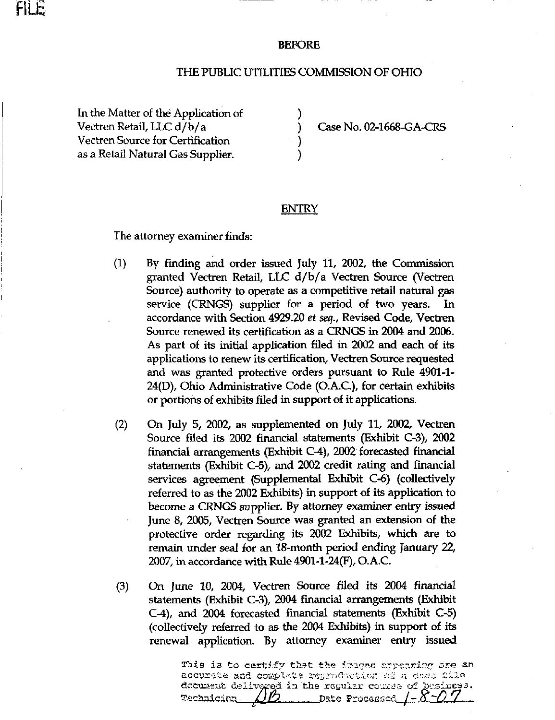

## BEFORE

## THE PUBLIC UTILITIES COMMISSION OF OHIO

In the Matter of the Application of Vectren Retail, LLC d/b/a (and ) Case No. 02-1668-GA-CRS Vectren Source for Certification ) as a Retail Natural Gas Supplier.

## **ENTRY**

The attorney examiner finds:

- (1) By finding and order issued July 11, 2002, the Commission granted Vectren Retail, LLC d/b/a Vectren Source (Vectren Source) authority to operate as a competitive retail natural gas service (CRNGS) supplier for a period of two years. In accordance with Section 4929.20 et seq., Revised Code, Vectren Source renewed its certification as a CRNGS in 2004 and 2006. As part of its initial application filed in 2002 and each of its applications to renew its certification, Vectren Source requested and was granted protective orders pursuant to Rule 4901-1- 24(D), Ohio Administrative Code (O.A.C.), for certain exhibits or portions of exhibits filed in support of it applications.
- (2) On July 5, 2002, as supplemented on July 11, 2002, Vectren Source filed its 2002 financial statements (Exhibit C-3), 2002 financial arrangements (Exhibit C-4), 2002 forecasted financial statements (Exhibit C-5), and 2002 credit rating and financial services agreement (Supplemental Exhibit C-6) (collectively referred to as the 2002 Exhibits) in support of its application to become a CRNGS supplier. By attorney examiner entry issued June 8, 2005, Vectren Source was granted an extension of the protective order regarding its 2002 Exhibits, which are to remain under seal for an 18-month period ending January 22, 2007, in accordance witti Rule 4901-1-24(F), O.A.C.
- (3) On June 10, 2004, Vectren Source filed its 2004 financial statements (Exhibit C-3), 2004 financial arrangements (Exhibit C-4), and 2004 forecasted financial statements (Exhibit C-5) (collectively referred to as the 2004 Exhibits) in support of its renewal application. By attorney examiner entry issued

This is to certify that the images appearing are an accurate and complete reproduction of a case file document delivgred in the ragular course of basings **Technician** \_Date Processed  $\underline{I}-\underline{\delta}$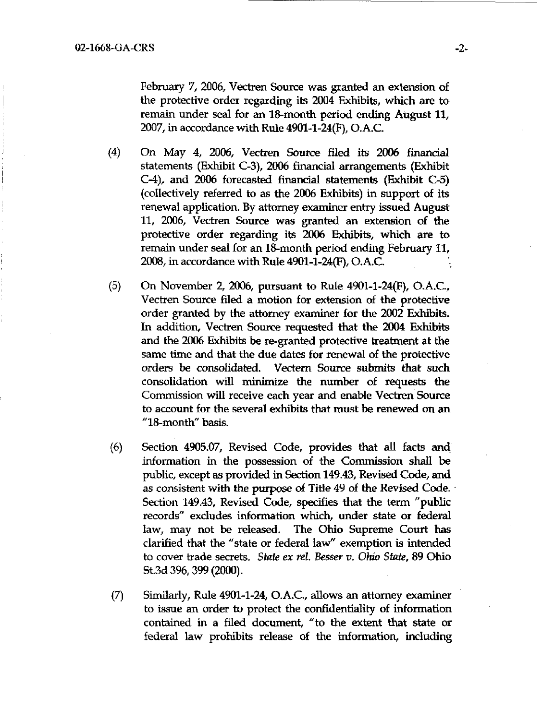February 7, 2006, Vectren Source was granted an extension of the protective order regarding its 2004 Exhibits, which are to remain under seal for an 18-month period ending August 11, 2007, in accordance with Rule 4901-1-24(F), O.A.C.

- $(4)$  On May 4, 2006, Vectren Source filed its 2006 financial statements (Exhibit C-3), 2006 financial arrangements (Exhibit C-4), and 2006 forecasted financial statements (Exhibit C-5) (collectively referred to as the 2006 Exhibits) in support of its renewal application. By attorney examiner entry issued August 11, 2006, Vectren Source was granted an extension of the protective order regarding its 2006 Exhibits, which are to remain under seal for an 18-month period ending February 11, 2008, in accordance with Rule 4901-1-24(F), O.A.C.
- (5) On November 2, 2006, pursuant to Rule 4901-1-24(F), O.A.C., Vectren Source filed a motion for extension of the protective order granted by the attorney examiner for the 2002 Exhibits. In addition, Vectren Source requested that the 2004 Exhibits and the 2006 Exhibits be re-granted protective treatment at the same time and that the due dates for renewal of the protective orders be consolidated. Vectern Source submits that such consolidation will minimize the number of requests the Commission will receive each year and enable Vectren Source to account for the several exhibits that must be renewed on an "18-month" basis.
- (6) Section 4905.07, Revised Code, provides that all facts and information in the possession of the Commission shall be public, except as provided in Section 149.43, Revised Code, and as consistent with the purpose of Title 49 of the Revised Code. Section 149.43, Revised Code, specifies that the term "public records" excludes information which, under state or federal law, may not be released. The Ohio Supreme Court has clarified that the "state or federal law" exemption is intended to cover trade secrets. State ex rel. Besser v. Ohio State, 89 Ohio St.3d 396,399 (2000).
- (7) Similarly, Rule 4901-1-24, O.A.C, allows an attorney examiner to issue an order to protect the confidentiality of information contained in a filed document, "to the extent that state or federal law prohibits release of the information, including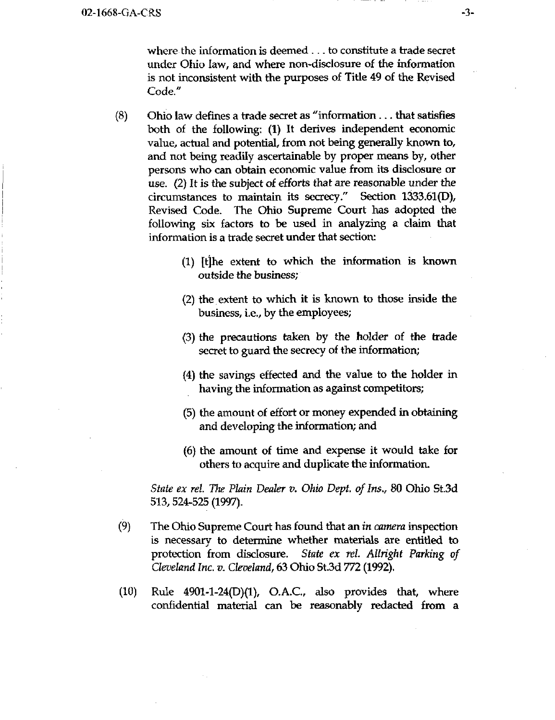where the information is deemed .. . to constitute a trade secret under Ohio law, and where non-disclosure of the information is not inconsistent with the purposes of Titie 49 of the Revised Code."

- $(8)$  Ohio law defines a trade secret as "information... that satisfies both of the following: (1) It derives independent economic value, actual and potential, from not being generally known to, and not being readily ascertainable by proper means by, other persons who can obtain economic value from its disclosure or use. (2) It is the subject of efforts that are reasonable under the circumstances to maintain its secrecy." Section 1333.61(D), Revised Code. The Ohio Supreme Court has adopted the following six factors to be used in analyzing a claim that information is a trade secret under that section:
	- (1) [tjhe extent to which the information is known outside the business;
	- (2) the extent to which it is known to those inside the business, i.e., by the employees;
	- (3) the precautions taken by the holder of the trade secret to guard the secrecy of the information;
	- (4) the savings effected and the value to the holder in having the information as against competitors;
	- (5) the amount of effort or money expended in obtaining and developing the information; and
	- (6) the amount of time and expense it would take for others to acquire and duplicate the information.

State ex rel. The Plain Dealer v. Ohio Dept. of Ins., 80 Ohio St.3d 513,524-525 (1997).

- (9) The Ohio Supreme Court has found that an in camera inspection is necessary to determine whether materials are entitied to protection from disclosure. State ex rel. Allright Parking of Cleveland Inc. v. Cleveland^ 63 Ohio St.3d 772 (1992).
- (10) Rule 4901-1-24(D)(1), O.A.C, also provides that, where confidential material can be reasonably redacted from a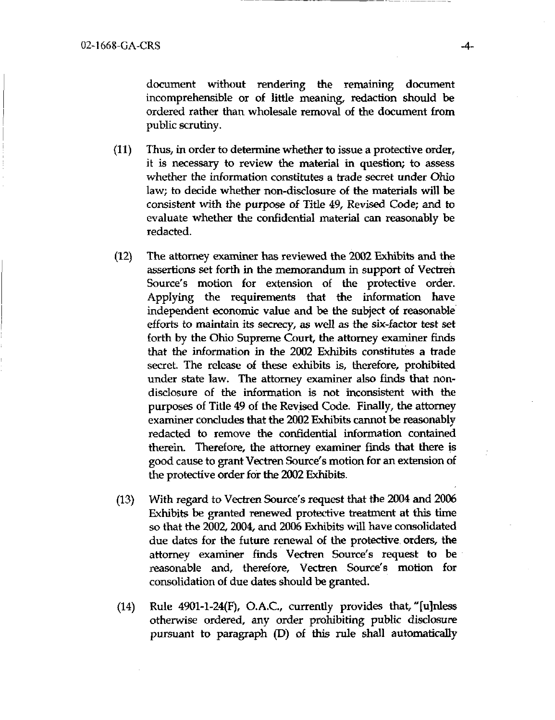document without rendering the remaining document incomprehensible or of little meaning, redaction should be ordered rather than wholesale removal of the document from public scrutiny.

- (11) Thus, in order to determine whether to issue a protective order, it is necessary to review the material in question; to assess whether the information constitutes a trade secret under Ohio law; to decide whether non-disclosure of the materials will be consistent with the purpose of Titie 49, Revised Code; and to evaluate whether the confidential material can reasonably be redacted.
- (12) The attorney examiner has reviewed the 2002 Exhibits and the assertions set forth in the memorandum in support of Vectren Source's motion for extension of the protective order. Applying the requirements that the information have independent economic value and be the subject of reasonable efforts to maintain its secrecy, as well as the six-factor test set forth by the Ohio Supreme Court, the attorney examiner finds that the information in the 2002 Exhibits constitutes a trade secret. The release of these exhibits is, therefore, prohibited under state law. The attorney examiner also finds that nondisclosure of the information is not inconsistent with the purposes of Titie 49 of the Revised Code. Finally, the attorney examiner concludes that the 2002 Exhibits cannot be reasonably redacted to remove the confidential information contained therein. Therefore, the attorney examiner finds that there is good cause to grant Vectren Source's motion for an extension of the protective order for the 2002 Exhibits.
- (13) With regard to Vectren Source's request that the 2004 and 2006 Exhibits be granted renewed protective treatment at this time so that the 2002, 2004, and 2006 Exhibits will have consolidated due dates for the future renewal of the protective orders, the attorney examiner finds Vectren Source's request to be reasonable and, therefore, Vectren Source's motion for consolidation of due dates should be granted.
- $(14)$  Rule 4901-1-24(F), O.A.C., currently provides that, "[u]nless otherwise ordered, any order prohibiting public disclosure pursuant to paragraph (D) of this rule shall automatically

 $-4-$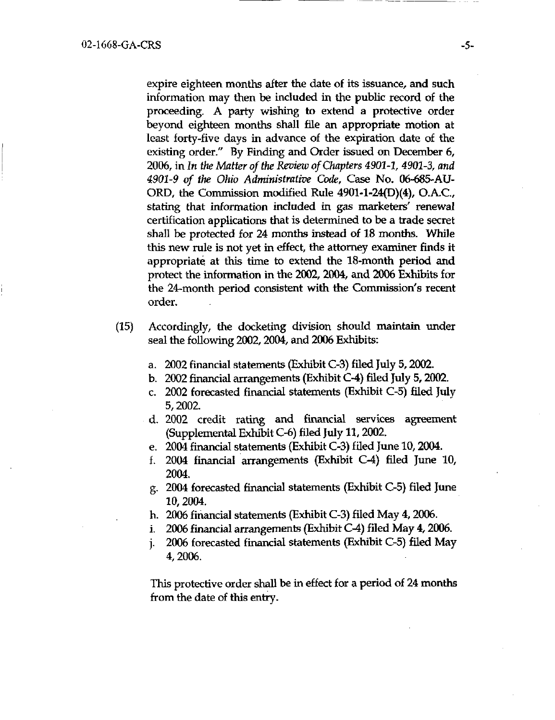expire eighteen months after the date of its issuance, and such information may then be included in the public record of the proceeding. A party wishing to extend a protective order beyond eighteen months shall file an appropriate motion at least forty-five days in advance of the expiration date of the existing order." By Finding and Order issued on December 6, 2006, in In the Matter of the Review of Chapters 4901-1, 4901-3, and 4901-9 of the Ohio Administrative Code, Case No. 06-685-AU-ORD, the Commission modified Rule 4901-1-24(D)(4), O.A.C, stating that information included in gas marketers' renewal certification applications that is determined to be a trade secret shall be protected for 24 months instead of 18 months. While this new rule is not yet in effect, the attorney examiner finds it appropriate, at this time to extend the 18-month period and protect the information in the 2002, 2004, and 2006 Exhibits for the 24-month period consistent with the Commission's recent order.

- (15) Accordingly, the docketing division should maintain under seal the following 2002, 2004, and 2006 Exhibits:
	- a. 2002 financial statements (Exhibit C-3) filed July 5,2002.
	- b. 2002 financial arrangements (Exhibit C-4) filed July 5,2002.
	- c. 2002 forecasted financial statements (Exhibit C-5) filed July 5,2002.
	- d. 2002 credit rating and financial services agreement (Supplemental Exhibit C-6) filed July 11,2002.
	- e. 2004 financial statements (Exhibit C-3) filed June 10,2004.
	- f. 2004 financial arrangements (Exhibit C-4) filed June 10, 2004.
	- g. 2004 forecasted financial statements (Exhibit C-5) filed June 10,2004.
	- h. 2006 financial statements (Exhibit C-3) filed May 4,2006.
	- i, 2006 financial arrangements (Exhibit C-4) filed May 4,2006.
	- j. 2006 forecasted financial statements (Exhibit C-5) filed May 4,2006.

This protective order shall be in effect for a period of 24 months from the date of this entry.